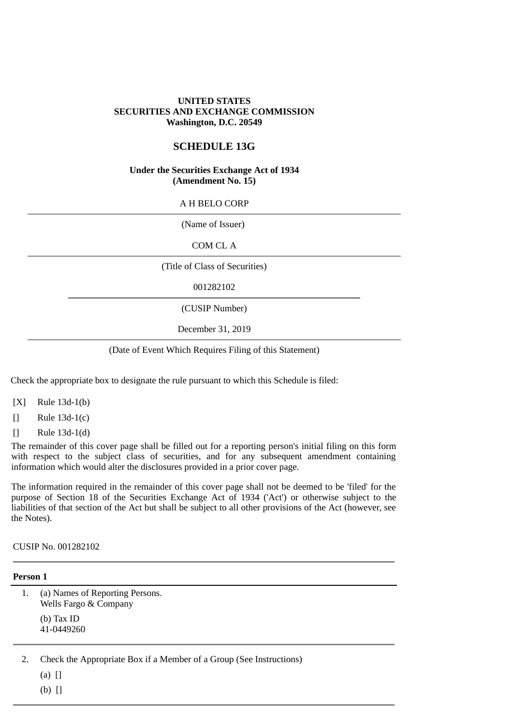### **UNITED STATES SECURITIES AND EXCHANGE COMMISSION Washington, D.C. 20549**

# **SCHEDULE 13G**

#### **Under the Securities Exchange Act of 1934 (Amendment No. 15)**

#### A H BELO CORP

(Name of Issuer)

COM CL A

(Title of Class of Securities)

001282102

(CUSIP Number)

December 31, 2019

#### (Date of Event Which Requires Filing of this Statement)

Check the appropriate box to designate the rule pursuant to which this Schedule is filed:

- [X] Rule 13d-1(b)
- [] Rule 13d-1(c)
- [] Rule 13d-1(d)

The remainder of this cover page shall be filled out for a reporting person's initial filing on this form with respect to the subject class of securities, and for any subsequent amendment containing information which would alter the disclosures provided in a prior cover page.

The information required in the remainder of this cover page shall not be deemed to be 'filed' for the purpose of Section 18 of the Securities Exchange Act of 1934 ('Act') or otherwise subject to the liabilities of that section of the Act but shall be subject to all other provisions of the Act (however, see the Notes).

CUSIP No. 001282102

#### **Person 1**

1. (a) Names of Reporting Persons. Wells Fargo & Company (b) Tax ID 41-0449260

2. Check the Appropriate Box if a Member of a Group (See Instructions)

(a) []

 $(b)$   $\Box$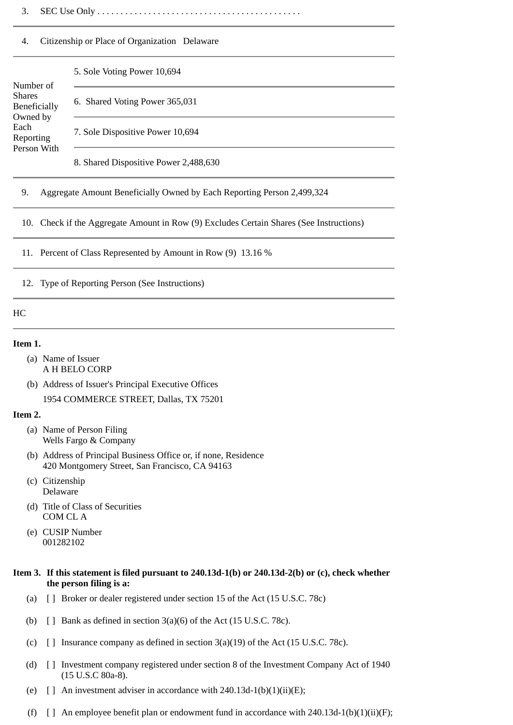3. SEC Use Only . . . . . . . . . . . . . . . . . . . . . . . . . . . . . . . . . . . . . . . . . . . .

#### 4. Citizenship or Place of Organization Delaware

#### Number of Shares Beneficially Owned by Each Reporting Person With 5. Sole Voting Power 10,694 6. Shared Voting Power 365,031 7. Sole Dispositive Power 10,694

8. Shared Dispositive Power 2,488,630

#### 9. Aggregate Amount Beneficially Owned by Each Reporting Person 2,499,324

10. Check if the Aggregate Amount in Row (9) Excludes Certain Shares (See Instructions)

11. Percent of Class Represented by Amount in Row (9) 13.16 %

12. Type of Reporting Person (See Instructions)

#### HC

#### **Item 1.**

- (a) Name of Issuer A H BELO CORP
- (b) Address of Issuer's Principal Executive Offices

1954 COMMERCE STREET, Dallas, TX 75201

#### **Item 2.**

- (a) Name of Person Filing Wells Fargo & Company
- (b) Address of Principal Business Office or, if none, Residence 420 Montgomery Street, San Francisco, CA 94163
- (c) Citizenship Delaware
- (d) Title of Class of Securities COM CL A
- (e) CUSIP Number 001282102

### **Item 3. If this statement is filed pursuant to 240.13d-1(b) or 240.13d-2(b) or (c), check whether the person filing is a:**

- (a) [ ] Broker or dealer registered under section 15 of the Act (15 U.S.C. 78c)
- (b)  $\Box$  Bank as defined in section 3(a)(6) of the Act (15 U.S.C. 78c).
- (c)  $\left[ \ \right]$  Insurance company as defined in section 3(a)(19) of the Act (15 U.S.C. 78c).
- (d) [ ] Investment company registered under section 8 of the Investment Company Act of 1940 (15 U.S.C 80a-8).
- (e)  $\lceil$  an investment adviser in accordance with 240.13d-1(b)(1)(ii)(E);
- (f)  $\left[ \right]$  An employee benefit plan or endowment fund in accordance with 240.13d-1(b)(1)(ii)(F);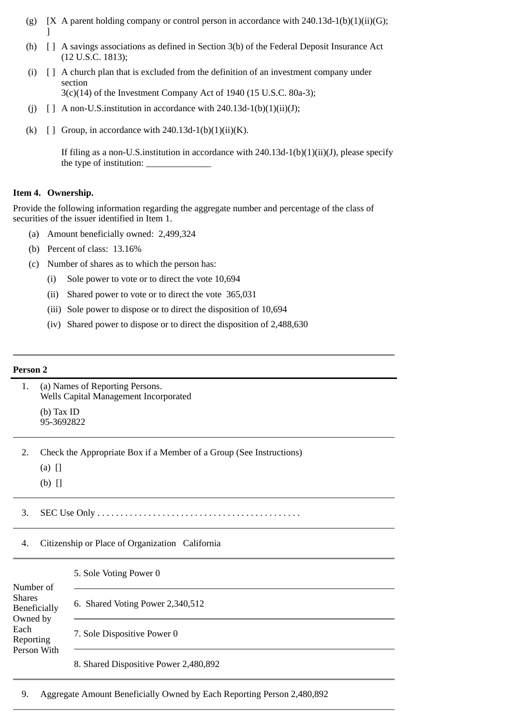- (g)  $[X \, A$  parent holding company or control person in accordance with 240.13d-1(b)(1)(ii)(G); ]
- (h) [ ] A savings associations as defined in Section 3(b) of the Federal Deposit Insurance Act (12 U.S.C. 1813);
- (i) [ ] A church plan that is excluded from the definition of an investment company under section
	- 3(c)(14) of the Investment Company Act of 1940 (15 U.S.C. 80a-3);
- (j)  $\left[\right]$  A non-U.S.institution in accordance with 240.13d-1(b)(1)(ii)(J);
- (k)  $\left[\right]$  Group, in accordance with 240.13d-1(b)(1)(ii)(K).

If filing as a non-U.S.institution in accordance with 240.13d-1(b)(1)(ii)(J), please specify the type of institution:

# **Item 4. Ownership.**

Provide the following information regarding the aggregate number and percentage of the class of securities of the issuer identified in Item 1.

- (a) Amount beneficially owned: 2,499,324
- (b) Percent of class: 13.16%
- (c) Number of shares as to which the person has:
	- (i) Sole power to vote or to direct the vote 10,694
	- (ii) Shared power to vote or to direct the vote 365,031
	- (iii) Sole power to dispose or to direct the disposition of 10,694
	- (iv) Shared power to dispose or to direct the disposition of 2,488,630

# **Person 2**

| 1.                                                                                         | (a) Names of Reporting Persons.<br>Wells Capital Management Incorporated                    |                                       |  |  |
|--------------------------------------------------------------------------------------------|---------------------------------------------------------------------------------------------|---------------------------------------|--|--|
|                                                                                            | $(b)$ Tax ID<br>95-3692822                                                                  |                                       |  |  |
| 2.                                                                                         | Check the Appropriate Box if a Member of a Group (See Instructions)<br>$(a)$ []<br>$(b)$ [] |                                       |  |  |
| 3.                                                                                         |                                                                                             |                                       |  |  |
| 4.                                                                                         | Citizenship or Place of Organization California                                             |                                       |  |  |
|                                                                                            |                                                                                             | 5. Sole Voting Power 0                |  |  |
| Number of<br><b>Shares</b><br>Beneficially<br>Owned by<br>Each<br>Reporting<br>Person With |                                                                                             | 6. Shared Voting Power 2,340,512      |  |  |
|                                                                                            |                                                                                             | 7. Sole Dispositive Power 0           |  |  |
|                                                                                            |                                                                                             | 8. Shared Dispositive Power 2,480,892 |  |  |

9. Aggregate Amount Beneficially Owned by Each Reporting Person 2,480,892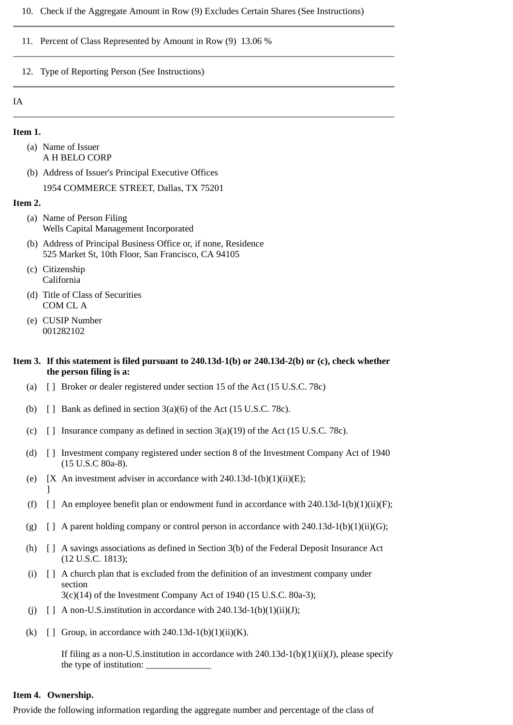#### 10. Check if the Aggregate Amount in Row (9) Excludes Certain Shares (See Instructions)

### 11. Percent of Class Represented by Amount in Row (9) 13.06 %

#### 12. Type of Reporting Person (See Instructions)

#### IA

#### **Item 1.**

- (a) Name of Issuer A H BELO CORP
- (b) Address of Issuer's Principal Executive Offices

1954 COMMERCE STREET, Dallas, TX 75201

#### **Item 2.**

- (a) Name of Person Filing Wells Capital Management Incorporated
- (b) Address of Principal Business Office or, if none, Residence 525 Market St, 10th Floor, San Francisco, CA 94105
- (c) Citizenship California
- (d) Title of Class of Securities COM CL A
- (e) CUSIP Number 001282102

#### **Item 3. If this statement is filed pursuant to 240.13d-1(b) or 240.13d-2(b) or (c), check whether the person filing is a:**

- (a) [ ] Broker or dealer registered under section 15 of the Act (15 U.S.C. 78c)
- (b)  $\left[ \right]$  Bank as defined in section 3(a)(6) of the Act (15 U.S.C. 78c).
- (c)  $\Box$  Insurance company as defined in section 3(a)(19) of the Act (15 U.S.C. 78c).
- (d) [ ] Investment company registered under section 8 of the Investment Company Act of 1940 (15 U.S.C 80a-8).
- (e)  $[X \text{ An investment advisor in accordance with } 240.13d-1(b)(1)(ii)(E);$  $\mathbf{1}$
- (f)  $\lceil$  An employee benefit plan or endowment fund in accordance with 240.13d-1(b)(1)(ii)(F);
- (g)  $\left[\right]$  A parent holding company or control person in accordance with 240.13d-1(b)(1)(ii)(G);
- (h) [ ] A savings associations as defined in Section 3(b) of the Federal Deposit Insurance Act (12 U.S.C. 1813);
- (i) [ ] A church plan that is excluded from the definition of an investment company under section 3(c)(14) of the Investment Company Act of 1940 (15 U.S.C. 80a-3);
- (j)  $\left[\right]$  A non-U.S. institution in accordance with 240.13d-1(b)(1)(ii)(J);
- (k)  $\lceil \cdot \rceil$  Group, in accordance with 240.13d-1(b)(1)(ii)(K).

If filing as a non-U.S.institution in accordance with 240.13d-1(b)(1)(ii)(J), please specify the type of institution:

#### **Item 4. Ownership.**

Provide the following information regarding the aggregate number and percentage of the class of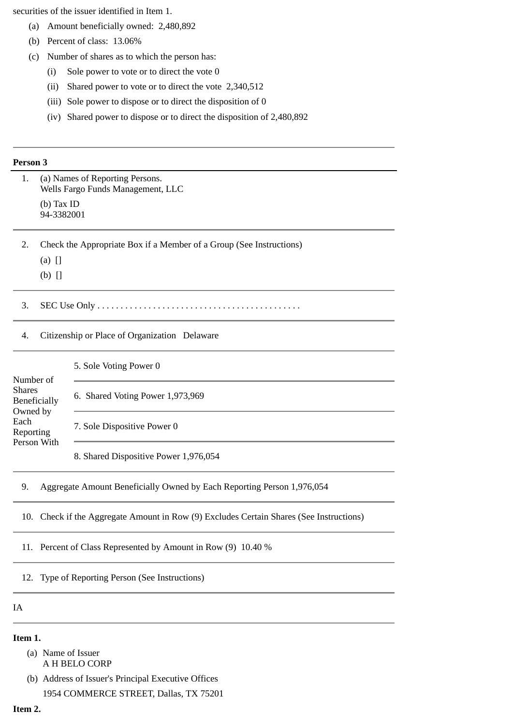securities of the issuer identified in Item 1.

- (a) Amount beneficially owned: 2,480,892
- (b) Percent of class: 13.06%
- (c) Number of shares as to which the person has:
	- (i) Sole power to vote or to direct the vote 0
	- (ii) Shared power to vote or to direct the vote 2,340,512
	- (iii) Sole power to dispose or to direct the disposition of 0
	- (iv) Shared power to dispose or to direct the disposition of 2,480,892

#### **Person 3**

| 1.                                                                          | (a) Names of Reporting Persons.<br>Wells Fargo Funds Management, LLC |                                                                        |  |  |
|-----------------------------------------------------------------------------|----------------------------------------------------------------------|------------------------------------------------------------------------|--|--|
|                                                                             | (b) Tax ID<br>94-3382001                                             |                                                                        |  |  |
| 2.                                                                          | Check the Appropriate Box if a Member of a Group (See Instructions)  |                                                                        |  |  |
|                                                                             | $(a)$ []                                                             |                                                                        |  |  |
|                                                                             | $(b)$ []                                                             |                                                                        |  |  |
| 3.                                                                          |                                                                      |                                                                        |  |  |
| 4.                                                                          | Citizenship or Place of Organization Delaware                        |                                                                        |  |  |
| Number of<br><b>Shares</b><br>Beneficially<br>Owned by<br>Each<br>Reporting |                                                                      | 5. Sole Voting Power 0                                                 |  |  |
|                                                                             |                                                                      | 6. Shared Voting Power 1,973,969                                       |  |  |
|                                                                             |                                                                      | 7. Sole Dispositive Power 0                                            |  |  |
| Person With                                                                 |                                                                      | 8. Shared Dispositive Power 1,976,054                                  |  |  |
| 9.                                                                          |                                                                      | Aggregate Amount Beneficially Owned by Each Reporting Person 1,976,054 |  |  |
|                                                                             |                                                                      |                                                                        |  |  |

10. Check if the Aggregate Amount in Row (9) Excludes Certain Shares (See Instructions)

11. Percent of Class Represented by Amount in Row (9) 10.40 %

12. Type of Reporting Person (See Instructions)

# IA

#### **Item 1.**

(a) Name of Issuer A H BELO CORP

(b) Address of Issuer's Principal Executive Offices 1954 COMMERCE STREET, Dallas, TX 75201

# **Item 2.**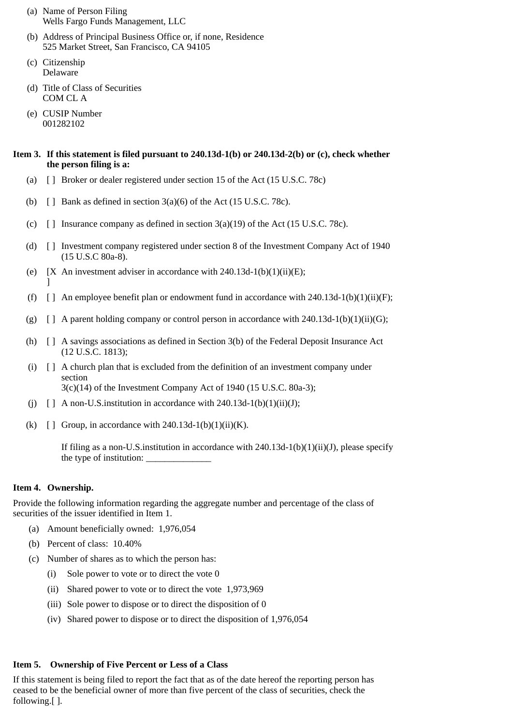- (a) Name of Person Filing Wells Fargo Funds Management, LLC
- (b) Address of Principal Business Office or, if none, Residence 525 Market Street, San Francisco, CA 94105
- (c) Citizenship Delaware
- (d) Title of Class of Securities COM CL A
- (e) CUSIP Number 001282102

# **Item 3. If this statement is filed pursuant to 240.13d-1(b) or 240.13d-2(b) or (c), check whether the person filing is a:**

- (a) [ ] Broker or dealer registered under section 15 of the Act (15 U.S.C. 78c)
- (b)  $\Box$  Bank as defined in section 3(a)(6) of the Act (15 U.S.C. 78c).
- (c)  $\lceil$  1 Insurance company as defined in section 3(a)(19) of the Act (15 U.S.C. 78c).
- (d) [ ] Investment company registered under section 8 of the Investment Company Act of 1940 (15 U.S.C 80a-8).
- (e)  $[X \text{ An investment advisor in accordance with } 240.13d-1(b)(1)(ii)(E);$ ]
- (f)  $\lceil \rceil$  An employee benefit plan or endowment fund in accordance with 240.13d-1(b)(1)(ii)(F);
- (g)  $\lceil$  | A parent holding company or control person in accordance with 240.13d-1(b)(1)(ii)(G);
- (h) [ ] A savings associations as defined in Section 3(b) of the Federal Deposit Insurance Act (12 U.S.C. 1813);
- (i) [ ] A church plan that is excluded from the definition of an investment company under section 3(c)(14) of the Investment Company Act of 1940 (15 U.S.C. 80a-3);
- (i)  $\Box$  A non-U.S. institution in accordance with 240.13d-1(b)(1)(ii)(J);
- (k)  $\lceil \cdot \rceil$  Group, in accordance with 240.13d-1(b)(1)(ii)(K).

If filing as a non-U.S. institution in accordance with  $240.13d-1(b)(1)(ii)(J)$ , please specify the type of institution:

# **Item 4. Ownership.**

Provide the following information regarding the aggregate number and percentage of the class of securities of the issuer identified in Item 1.

- (a) Amount beneficially owned: 1,976,054
- (b) Percent of class: 10.40%
- (c) Number of shares as to which the person has:
	- (i) Sole power to vote or to direct the vote 0
	- (ii) Shared power to vote or to direct the vote 1,973,969
	- (iii) Sole power to dispose or to direct the disposition of 0
	- (iv) Shared power to dispose or to direct the disposition of 1,976,054

# **Item 5. Ownership of Five Percent or Less of a Class**

If this statement is being filed to report the fact that as of the date hereof the reporting person has ceased to be the beneficial owner of more than five percent of the class of securities, check the following.[ ].